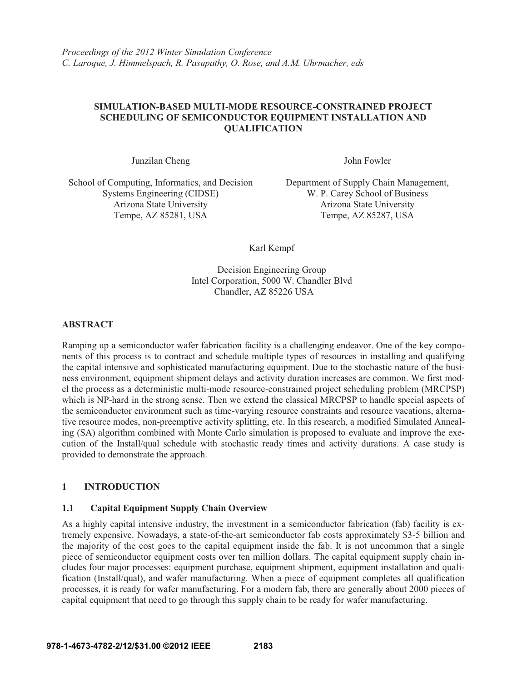# **SIMULATION-BASED MULTI-MODE RESOURCE-CONSTRAINED PROJECT SCHEDULING OF SEMICONDUCTOR EQUIPMENT INSTALLATION AND QUALIFICATION**

Junzilan Cheng John Fowler

School of Computing, Informatics, and Decision Systems Engineering (CIDSE) Arizona State University Arizona State University Tempe, AZ 85281, USA Tempe, AZ 85287, USA

Department of Supply Chain Management, W. P. Carey School of Business

Karl Kempf

Decision Engineering Group Intel Corporation, 5000 W. Chandler Blvd Chandler, AZ 85226 USA

### **ABSTRACT**

Ramping up a semiconductor wafer fabrication facility is a challenging endeavor. One of the key components of this process is to contract and schedule multiple types of resources in installing and qualifying the capital intensive and sophisticated manufacturing equipment. Due to the stochastic nature of the business environment, equipment shipment delays and activity duration increases are common. We first model the process as a deterministic multi-mode resource-constrained project scheduling problem (MRCPSP) which is NP-hard in the strong sense. Then we extend the classical MRCPSP to handle special aspects of the semiconductor environment such as time-varying resource constraints and resource vacations, alternative resource modes, non-preemptive activity splitting, etc. In this research, a modified Simulated Annealing (SA) algorithm combined with Monte Carlo simulation is proposed to evaluate and improve the execution of the Install/qual schedule with stochastic ready times and activity durations. A case study is provided to demonstrate the approach.

# **1 INTRODUCTION**

#### **1.1 Capital Equipment Supply Chain Overview**

As a highly capital intensive industry, the investment in a semiconductor fabrication (fab) facility is extremely expensive. Nowadays, a state-of-the-art semiconductor fab costs approximately \$3-5 billion and the majority of the cost goes to the capital equipment inside the fab. It is not uncommon that a single piece of semiconductor equipment costs over ten million dollars. The capital equipment supply chain includes four major processes: equipment purchase, equipment shipment, equipment installation and qualification (Install/qual), and wafer manufacturing. When a piece of equipment completes all qualification processes, it is ready for wafer manufacturing. For a modern fab, there are generally about 2000 pieces of capital equipment that need to go through this supply chain to be ready for wafer manufacturing.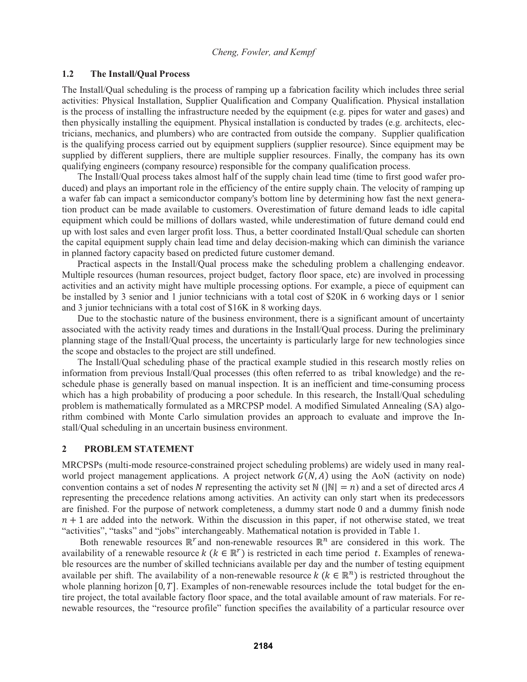#### **1.2 The Install/Qual Process**

The Install/Qual scheduling is the process of ramping up a fabrication facility which includes three serial activities: Physical Installation, Supplier Qualification and Company Qualification. Physical installation is the process of installing the infrastructure needed by the equipment (e.g. pipes for water and gases) and then physically installing the equipment. Physical installation is conducted by trades (e.g. architects, electricians, mechanics, and plumbers) who are contracted from outside the company. Supplier qualification is the qualifying process carried out by equipment suppliers (supplier resource). Since equipment may be supplied by different suppliers, there are multiple supplier resources. Finally, the company has its own qualifying engineers (company resource) responsible for the company qualification process.

The Install/Qual process takes almost half of the supply chain lead time (time to first good wafer produced) and plays an important role in the efficiency of the entire supply chain. The velocity of ramping up a wafer fab can impact a semiconductor company's bottom line by determining how fast the next generation product can be made available to customers. Overestimation of future demand leads to idle capital equipment which could be millions of dollars wasted, while underestimation of future demand could end up with lost sales and even larger profit loss. Thus, a better coordinated Install/Qual schedule can shorten the capital equipment supply chain lead time and delay decision-making which can diminish the variance in planned factory capacity based on predicted future customer demand.

Practical aspects in the Install/Qual process make the scheduling problem a challenging endeavor. Multiple resources (human resources, project budget, factory floor space, etc) are involved in processing activities and an activity might have multiple processing options. For example, a piece of equipment can be installed by 3 senior and 1 junior technicians with a total cost of \$20K in 6 working days or 1 senior and 3 junior technicians with a total cost of \$16K in 8 working days.

Due to the stochastic nature of the business environment, there is a significant amount of uncertainty associated with the activity ready times and durations in the Install/Qual process. During the preliminary planning stage of the Install/Qual process, the uncertainty is particularly large for new technologies since the scope and obstacles to the project are still undefined.

The Install/Qual scheduling phase of the practical example studied in this research mostly relies on information from previous Install/Qual processes (this often referred to as tribal knowledge) and the reschedule phase is generally based on manual inspection. It is an inefficient and time-consuming process which has a high probability of producing a poor schedule. In this research, the Install/Qual scheduling problem is mathematically formulated as a MRCPSP model. A modified Simulated Annealing (SA) algorithm combined with Monte Carlo simulation provides an approach to evaluate and improve the Install/Qual scheduling in an uncertain business environment.

#### **2 PROBLEM STATEMENT**

MRCPSPs (multi-mode resource-constrained project scheduling problems) are widely used in many realworld project management applications. A project network  $G(N, A)$  using the AoN (activity on node) convention contains a set of nodes N representing the activity set  $\mathbb{N}$  ( $|\mathbb{N}| = n$ ) and a set of directed arcs A representing the precedence relations among activities. An activity can only start when its predecessors are finished. For the purpose of network completeness, a dummy start node 0 and a dummy finish node  $n + 1$  are added into the network. Within the discussion in this paper, if not otherwise stated, we treat "activities", "tasks" and "jobs" interchangeably. Mathematical notation is provided in Table 1.

Both renewable resources  $\mathbb{R}^r$  and non-renewable resources  $\mathbb{R}^n$  are considered in this work. The availability of a renewable resource  $k$  ( $k \in \mathbb{R}^r$ ) is restricted in each time period t. Examples of renewable resources are the number of skilled technicians available per day and the number of testing equipment available per shift. The availability of a non-renewable resource  $k (k \in \mathbb{R}^n)$  is restricted throughout the whole planning horizon  $[0, T]$ . Examples of non-renewable resources include the total budget for the entire project, the total available factory floor space, and the total available amount of raw materials. For renewable resources, the "resource profile" function specifies the availability of a particular resource over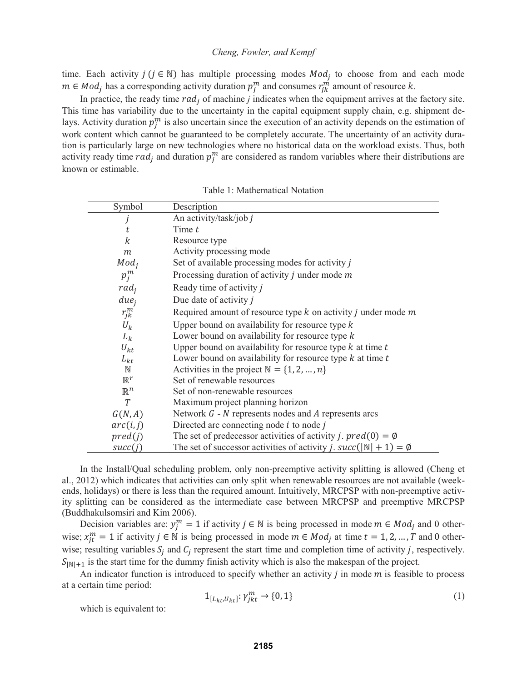time. Each activity  $j$  ( $j \in \mathbb{N}$ ) has multiple processing modes  $Mod_j$  to choose from and each mode  $m \in Mod_j$  has a corresponding activity duration  $p_j^m$  and consumes  $r_{jk}^m$  amount of resource k.

In practice, the ready time  $rad_i$  of machine  $j$  indicates when the equipment arrives at the factory site. This time has variability due to the uncertainty in the capital equipment supply chain, e.g. shipment delays. Activity duration  $p_j^m$  is also uncertain since the execution of an activity depends on the estimation of work content which cannot be guaranteed to be completely accurate. The uncertainty of an activity duration is particularly large on new technologies where no historical data on the workload exists. Thus, both activity ready time  $rad_j$  and duration  $p_j^m$  are considered as random variables where their distributions are known or estimable.

| Symbol           | Description                                                                                 |  |  |
|------------------|---------------------------------------------------------------------------------------------|--|--|
|                  | An activity/task/job j                                                                      |  |  |
| t                | Time $t$                                                                                    |  |  |
| $\boldsymbol{k}$ | Resource type                                                                               |  |  |
| $\boldsymbol{m}$ | Activity processing mode                                                                    |  |  |
| $Mod_i$          | Set of available processing modes for activity j                                            |  |  |
| $p_j^m$          | Processing duration of activity $j$ under mode $m$                                          |  |  |
| $rad_i$          | Ready time of activity j                                                                    |  |  |
| due <sub>i</sub> | Due date of activity $j$                                                                    |  |  |
| $r_{ik}^m$       | Required amount of resource type $k$ on activity $j$ under mode $m$                         |  |  |
| $U_k$            | Upper bound on availability for resource type $k$                                           |  |  |
| $L_k$            | Lower bound on availability for resource type $k$                                           |  |  |
| $U_{kt}$         | Upper bound on availability for resource type $k$ at time $t$                               |  |  |
| $L_{kt}$         | Lower bound on availability for resource type $k$ at time $t$                               |  |  |
| $\mathbb N$      | Activities in the project $N = \{1, 2, , n\}$                                               |  |  |
| $\mathbb{R}^r$   | Set of renewable resources                                                                  |  |  |
| $\mathbb{R}^n$   | Set of non-renewable resources                                                              |  |  |
| T                | Maximum project planning horizon                                                            |  |  |
| G(N,A)           | Network $G - N$ represents nodes and $A$ represents arcs                                    |  |  |
| arc(i, j)        | Directed arc connecting node $i$ to node $j$                                                |  |  |
| pred(j)          | The set of predecessor activities of activity <i>j</i> . $pred(0) = \emptyset$              |  |  |
| succ(j)          | The set of successor activities of activity <i>j.</i> $succ(\vert N \vert + 1) = \emptyset$ |  |  |

Table 1: Mathematical Notation

In the Install/Qual scheduling problem, only non-preemptive activity splitting is allowed (Cheng et al., 2012) which indicates that activities can only split when renewable resources are not available (weekends, holidays) or there is less than the required amount. Intuitively, MRCPSP with non-preemptive activity splitting can be considered as the intermediate case between MRCPSP and preemptive MRCPSP (Buddhakulsomsiri and Kim 2006).

Decision variables are:  $y_j^m = 1$  if activity  $j \in \mathbb{N}$  is being processed in mode  $m \in Mod_j$  and 0 otherwise;  $x_{jt}^{m} = 1$  if activity  $j \in \mathbb{N}$  is being processed in mode  $m \in Mod_j$  at time  $t = 1, 2, ..., T$  and 0 otherwise; resulting variables  $S_i$  and  $C_j$  represent the start time and completion time of activity j, respectively.  $S_{\text{NN+1}}$  is the start time for the dummy finish activity which is also the makespan of the project.

An indicator function is introduced to specify whether an activity  $j$  in mode  $m$  is feasible to process at a certain time period:

$$
1_{[L_{kt},U_{kt}]}: \gamma_{jkt}^m \to \{0,1\} \tag{1}
$$

which is equivalent to: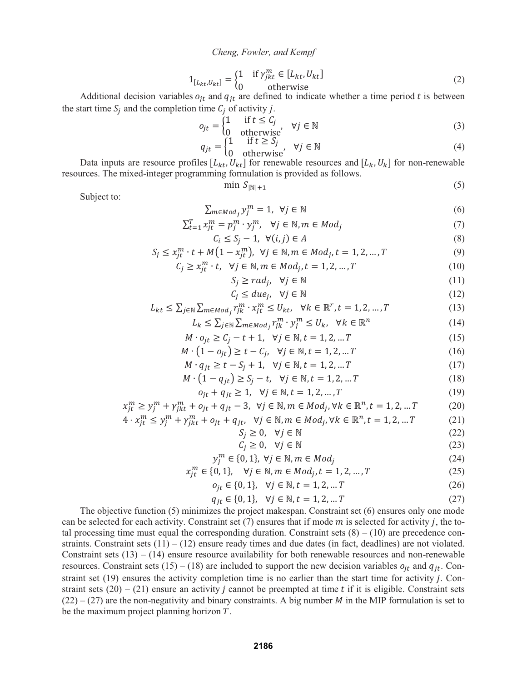$$
1_{[L_{kt},U_{kt}]} = \begin{cases} 1 & \text{if } \gamma_{jkt}^m \in [L_{kt}, U_{kt}] \\ 0 & \text{otherwise} \end{cases}
$$
 (2)

Additional decision variables  $o_{jt}$  and  $q_{jt}$  are defined to indicate whether a time period t is between the start time  $S_i$  and the completion time  $C_i$  of activity j.

$$
o_{jt} = \begin{cases} 1 & \text{if } t \le C_j \\ 0 & \text{otherwise} \end{cases} \quad \forall j \in \mathbb{N} \tag{3}
$$

$$
q_{jt} = \begin{cases} 1 & \text{if } t \geq S_j \\ 0 & \text{otherwise} \end{cases}, \quad \forall j \in \mathbb{N}
$$
 (4)

Data inputs are resource profiles  $[L_{kt}, U_{kt}]$  for renewable resources and  $[L_k, U_k]$  for non-renewable resources. The mixed-integer programming formulation is provided as follows.

$$
\min S_{|\mathbb{N}|+1} \tag{5}
$$

Subject to:

$$
\sum_{m \in Mod_j} y_j^m = 1, \ \forall j \in \mathbb{N} \tag{6}
$$

$$
\sum_{t=1}^{T} x_{jt}^{m} = p_j^{m} \cdot y_j^{m}, \quad \forall j \in \mathbb{N}, m \in Mod_j \tag{7}
$$

$$
C_i \le S_j - 1, \ \forall (i, j) \in A \tag{8}
$$

$$
S_j \le x_{jt}^m \cdot t + M(1 - x_{jt}^m), \ \forall j \in \mathbb{N}, m \in Mod_j, t = 1, 2, ..., T
$$
 (9)

$$
C_j \ge x_{jt}^m \cdot t, \quad \forall j \in \mathbb{N}, m \in Mod_j, t = 1, 2, \dots, T
$$
\n
$$
(10)
$$

$$
S_j \geq rad_j, \quad \forall j \in \mathbb{N} \tag{11}
$$

$$
C_j \leq due_j, \quad \forall j \in \mathbb{N} \tag{12}
$$

$$
L_{kt} \le \sum_{j \in \mathbb{N}} \sum_{m \in \mathbb{M} \circ d_j} r_{jk}^m \cdot x_{jt}^m \le U_{kt}, \quad \forall k \in \mathbb{R}^r, t = 1, 2, \dots, T
$$
 (13)

$$
L_k \le \sum_{j \in \mathbb{N}} \sum_{m \in \mathbb{M} \circ d_j} r_{jk}^m \cdot y_j^m \le U_k, \quad \forall k \in \mathbb{R}^n \tag{14}
$$

$$
M \cdot o_{jt} \ge C_j - t + 1, \ \ \forall j \in \mathbb{N}, t = 1, 2, \dots T
$$
 (15)

$$
M \cdot (1 - o_{jt}) \ge t - C_j, \quad \forall j \in \mathbb{N}, t = 1, 2, \dots T
$$
 (16)

$$
M \cdot q_{jt} \ge t - S_j + 1, \quad \forall j \in \mathbb{N}, t = 1, 2, \dots T
$$
 (17)

$$
M \cdot (1 - q_{jt}) \ge S_j - t, \quad \forall j \in \mathbb{N}, t = 1, 2, \dots T
$$
 (18)

$$
o_{jt} + q_{jt} \ge 1, \ \forall j \in \mathbb{N}, t = 1, 2, ..., T
$$
 (19)

$$
x_{jt}^{m} \ge y_j^{m} + \gamma_{jkt}^{m} + o_{jt} + q_{jt} - 3, \ \forall j \in \mathbb{N}, m \in Mod_j, \forall k \in \mathbb{R}^n, t = 1, 2, \dots T
$$
 (20)

$$
4 \cdot x_{jt}^{m} \le y_j^{m} + \gamma_{jkt}^{m} + o_{jt} + q_{jt}, \ \ \forall j \in \mathbb{N}, m \in Mod_j, \forall k \in \mathbb{R}^n, t = 1, 2, \dots T
$$
 (21)

$$
S_j \ge 0, \quad \forall j \in \mathbb{N} \tag{22}
$$

$$
C_j \ge 0, \quad \forall j \in \mathbb{N} \tag{23}
$$

$$
y_j^m \in \{0, 1\}, \ \forall j \in \mathbb{N}, m \in Mod_j \tag{24}
$$

$$
x_{jt}^{m} \in \{0, 1\}, \quad \forall j \in \mathbb{N}, m \in Mod_j, t = 1, 2, ..., T
$$
 (25)

$$
o_{jt} \in \{0, 1\}, \ \ \forall j \in \mathbb{N}, t = 1, 2, \dots T
$$
 (26)

$$
q_{jt} \in \{0, 1\}, \ \ \forall j \in \mathbb{N}, t = 1, 2, \dots T \tag{27}
$$

The objective function (5) minimizes the project makespan. Constraint set (6) ensures only one mode can be selected for each activity. Constraint set  $(7)$  ensures that if mode  $m$  is selected for activity  $j$ , the total processing time must equal the corresponding duration. Constraint sets  $(8) - (10)$  are precedence constraints. Constraint sets  $(11) - (12)$  ensure ready times and due dates (in fact, deadlines) are not violated. Constraint sets  $(13) - (14)$  ensure resource availability for both renewable resources and non-renewable resources. Constraint sets (15) – (18) are included to support the new decision variables  $o_{it}$  and  $q_{it}$ . Constraint set  $(19)$  ensures the activity completion time is no earlier than the start time for activity  $j$ . Constraint sets  $(20) - (21)$  ensure an activity *j* cannot be preempted at time *t* if it is eligible. Constraint sets  $(22) - (27)$  are the non-negativity and binary constraints. A big number *M* in the MIP formulation is set to be the maximum project planning horizon  $T$ .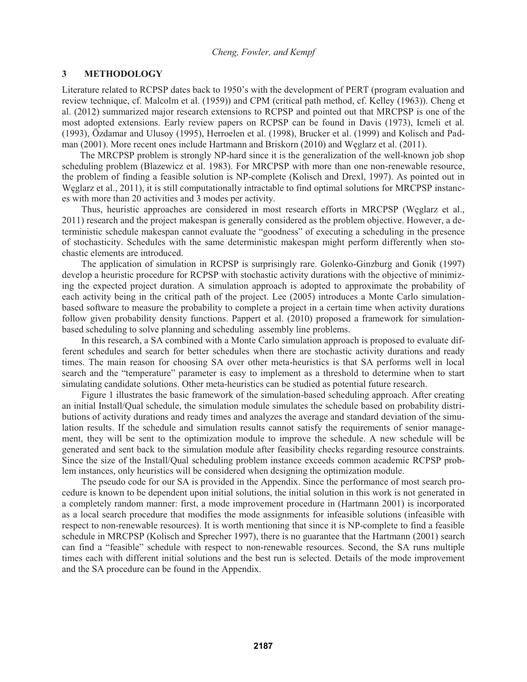# **3 METHODOLOGY**

Literature related to RCPSP dates back to 1950's with the development of PERT (program evaluation and review technique, cf. Malcolm et al. (1959)) and CPM (critical path method, cf. Kelley (1963)). Cheng et al. (2012) summarized major research extensions to RCPSP and pointed out that MRCPSP is one of the most adopted extensions. Early review papers on RCPSP can be found in Davis (1973), Icmeli et al. (1993), Özdamar and Ulusoy (1995), Herroelen et al. (1998), Brucker et al. (1999) and Kolisch and Padman (2001). More recent ones include Hartmann and Briskorn (2010) and Węglarz et al. (2011).

The MRCPSP problem is strongly NP-hard since it is the generalization of the well-known job shop scheduling problem (Blazewicz et al. 1983). For MRCPSP with more than one non-renewable resource, the problem of finding a feasible solution is NP-complete (Kolisch and Drexl, 1997). As pointed out in Węglarz et al., 2011), it is still computationally intractable to find optimal solutions for MRCPSP instances with more than 20 activities and 3 modes per activity.

Thus, heuristic approaches are considered in most research efforts in MRCPSP (Węglarz et al., 2011) research and the project makespan is generally considered as the problem objective. However, a deterministic schedule makespan cannot evaluate the "goodness" of executing a scheduling in the presence of stochasticity. Schedules with the same deterministic makespan might perform differently when stochastic elements are introduced.

The application of simulation in RCPSP is surprisingly rare. Golenko-Ginzburg and Gonik (1997) develop a heuristic procedure for RCPSP with stochastic activity durations with the objective of minimizing the expected project duration. A simulation approach is adopted to approximate the probability of each activity being in the critical path of the project. Lee (2005) introduces a Monte Carlo simulationbased software to measure the probability to complete a project in a certain time when activity durations follow given probability density functions. Pappert et al. (2010) proposed a framework for simulationbased scheduling to solve planning and scheduling assembly line problems.

In this research, a SA combined with a Monte Carlo simulation approach is proposed to evaluate different schedules and search for better schedules when there are stochastic activity durations and ready times. The main reason for choosing SA over other meta-heuristics is that SA performs well in local search and the "temperature" parameter is easy to implement as a threshold to determine when to start simulating candidate solutions. Other meta-heuristics can be studied as potential future research.

Figure 1 illustrates the basic framework of the simulation-based scheduling approach. After creating an initial Install/Qual schedule, the simulation module simulates the schedule based on probability distributions of activity durations and ready times and analyzes the average and standard deviation of the simulation results. If the schedule and simulation results cannot satisfy the requirements of senior management, they will be sent to the optimization module to improve the schedule. A new schedule will be generated and sent back to the simulation module after feasibility checks regarding resource constraints. Since the size of the Install/Qual scheduling problem instance exceeds common academic RCPSP problem instances, only heuristics will be considered when designing the optimization module.

The pseudo code for our SA is provided in the Appendix. Since the performance of most search procedure is known to be dependent upon initial solutions, the initial solution in this work is not generated in a completely random manner: first, a mode improvement procedure in (Hartmann 2001) is incorporated as a local search procedure that modifies the mode assignments for infeasible solutions (infeasible with respect to non-renewable resources). It is worth mentioning that since it is NP-complete to find a feasible schedule in MRCPSP (Kolisch and Sprecher 1997), there is no guarantee that the Hartmann (2001) search can find a "feasible" schedule with respect to non-renewable resources. Second, the SA runs multiple times each with different initial solutions and the best run is selected. Details of the mode improvement and the SA procedure can be found in the Appendix.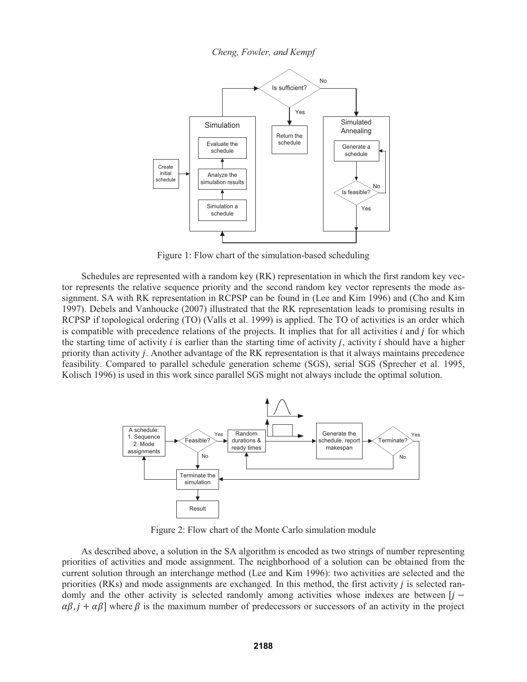

Figure 1: Flow chart of the simulation-based scheduling

Schedules are represented with a random key (RK) representation in which the first random key vector represents the relative sequence priority and the second random key vector represents the mode assignment. SA with RK representation in RCPSP can be found in (Lee and Kim 1996) and (Cho and Kim 1997). Debels and Vanhoucke (2007) illustrated that the RK representation leads to promising results in RCPSP if topological ordering (TO) (Valls et al. 1999) is applied. The TO of activities is an order which is compatible with precedence relations of the projects. It implies that for all activities  $i$  and  $j$  for which the starting time of activity  $i$  is earlier than the starting time of activity  $i$ , activity  $i$  should have a higher priority than activity  $j$ . Another advantage of the RK representation is that it always maintains precedence feasibility. Compared to parallel schedule generation scheme (SGS), serial SGS (Sprecher et al. 1995, Kolisch 1996) is used in this work since parallel SGS might not always include the optimal solution.



Figure 2: Flow chart of the Monte Carlo simulation module

As described above, a solution in the SA algorithm is encoded as two strings of number representing priorities of activities and mode assignment. The neighborhood of a solution can be obtained from the current solution through an interchange method (Lee and Kim 1996): two activities are selected and the priorities  $(RKs)$  and mode assignments are exchanged. In this method, the first activity  $\hat{j}$  is selected randomly and the other activity is selected randomly among activities whose indexes are between  $[i]$  $\alpha\beta$ ,  $j + \alpha\beta$  where  $\beta$  is the maximum number of predecessors or successors of an activity in the project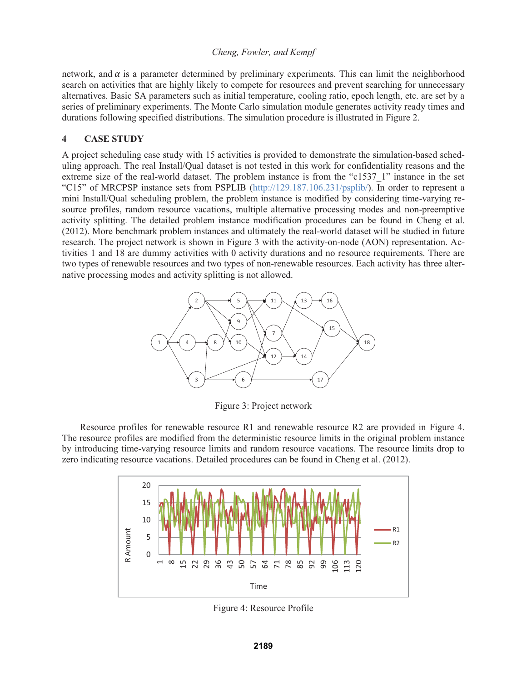network, and  $\alpha$  is a parameter determined by preliminary experiments. This can limit the neighborhood search on activities that are highly likely to compete for resources and prevent searching for unnecessary alternatives. Basic SA parameters such as initial temperature, cooling ratio, epoch length, etc. are set by a series of preliminary experiments. The Monte Carlo simulation module generates activity ready times and durations following specified distributions. The simulation procedure is illustrated in Figure 2.

### **4 CASE STUDY**

A project scheduling case study with 15 activities is provided to demonstrate the simulation-based scheduling approach. The real Install/Qual dataset is not tested in this work for confidentiality reasons and the extreme size of the real-world dataset. The problem instance is from the "c1537-1" instance in the set "C15" of MRCPSP instance sets from PSPLIB (http://129.187.106.231/psplib/). In order to represent a mini Install/Qual scheduling problem, the problem instance is modified by considering time-varying resource profiles, random resource vacations, multiple alternative processing modes and non-preemptive activity splitting. The detailed problem instance modification procedures can be found in Cheng et al. (2012). More benchmark problem instances and ultimately the real-world dataset will be studied in future research. The project network is shown in Figure 3 with the activity-on-node (AON) representation. Activities 1 and 18 are dummy activities with 0 activity durations and no resource requirements. There are two types of renewable resources and two types of non-renewable resources. Each activity has three alternative processing modes and activity splitting is not allowed.



Figure 3: Project network

Resource profiles for renewable resource R1 and renewable resource R2 are provided in Figure 4. The resource profiles are modified from the deterministic resource limits in the original problem instance by introducing time-varying resource limits and random resource vacations. The resource limits drop to zero indicating resource vacations. Detailed procedures can be found in Cheng et al. (2012).



Figure 4: Resource Profile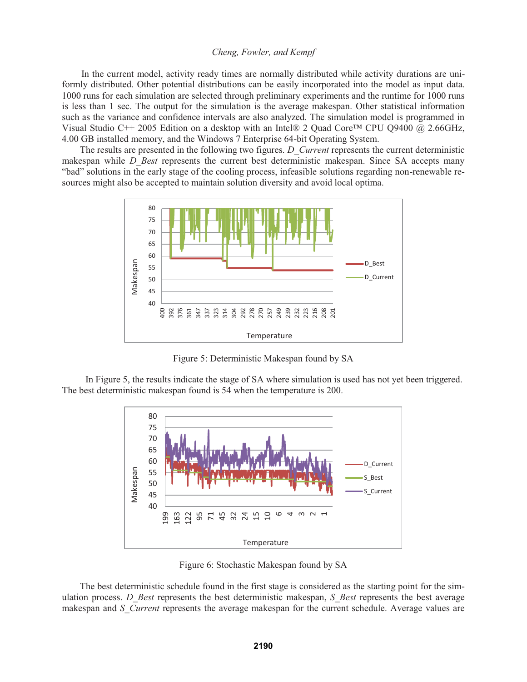In the current model, activity ready times are normally distributed while activity durations are uniformly distributed. Other potential distributions can be easily incorporated into the model as input data. 1000 runs for each simulation are selected through preliminary experiments and the runtime for 1000 runs is less than 1 sec. The output for the simulation is the average makespan. Other statistical information such as the variance and confidence intervals are also analyzed. The simulation model is programmed in Visual Studio C++ 2005 Edition on a desktop with an Intel® 2 Quad Core™ CPU Q9400 @ 2.66GHz, 4.00 GB installed memory, and the Windows 7 Enterprise 64-bit Operating System.

The results are presented in the following two figures. *D\_Current* represents the current deterministic makespan while *D\_Best* represents the current best deterministic makespan. Since SA accepts many "bad" solutions in the early stage of the cooling process, infeasible solutions regarding non-renewable resources might also be accepted to maintain solution diversity and avoid local optima.



Figure 5: Deterministic Makespan found by SA

In Figure 5, the results indicate the stage of SA where simulation is used has not yet been triggered. The best deterministic makespan found is 54 when the temperature is 200.



Figure 6: Stochastic Makespan found by SA

The best deterministic schedule found in the first stage is considered as the starting point for the simulation process. *D\_Best* represents the best deterministic makespan, *S\_Best* represents the best average makespan and *S\_Current* represents the average makespan for the current schedule. Average values are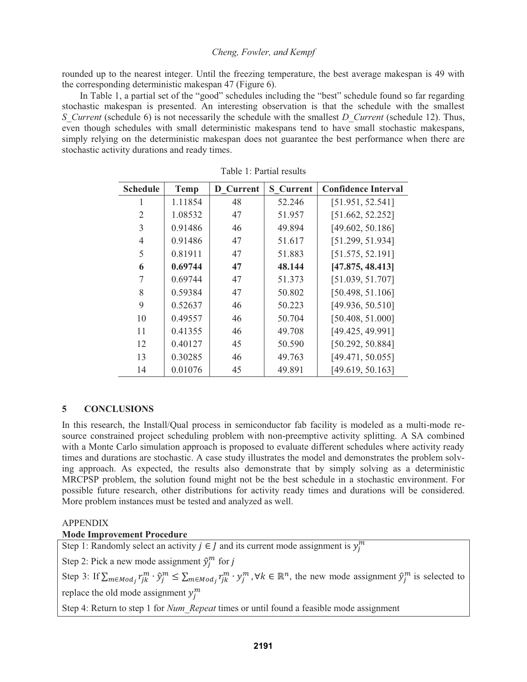rounded up to the nearest integer. Until the freezing temperature, the best average makespan is 49 with the corresponding deterministic makespan 47 (Figure 6).

In Table 1, a partial set of the "good" schedules including the "best" schedule found so far regarding stochastic makespan is presented. An interesting observation is that the schedule with the smallest *S\_Current* (schedule 6) is not necessarily the schedule with the smallest *D\_Current* (schedule 12). Thus, even though schedules with small deterministic makespans tend to have small stochastic makespans, simply relying on the deterministic makespan does not guarantee the best performance when there are stochastic activity durations and ready times.

| <b>Schedule</b> | <b>Temp</b> | <b>D</b> Current | <b>S</b> Current | <b>Confidence Interval</b> |
|-----------------|-------------|------------------|------------------|----------------------------|
| 1               | 1.11854     | 48               | 52.246           | [51.951, 52.541]           |
| 2               | 1.08532     | 47               | 51.957           | [51.662, 52.252]           |
| 3               | 0.91486     | 46               | 49.894           | [49.602, 50.186]           |
| 4               | 0.91486     | 47               | 51.617           | [51.299, 51.934]           |
| 5               | 0.81911     | 47               | 51.883           | [51.575, 52.191]           |
| 6               | 0.69744     | 47               | 48.144           | [47.875, 48.413]           |
|                 | 0.69744     | 47               | 51.373           | [51.039, 51.707]           |
| 8               | 0.59384     | 47               | 50.802           | [50.498, 51.106]           |
| 9               | 0.52637     | 46               | 50.223           | [49.936, 50.510]           |
| 10              | 0.49557     | 46               | 50.704           | [50.408, 51.000]           |
| 11              | 0.41355     | 46               | 49.708           | [49.425, 49.991]           |
| 12              | 0.40127     | 45               | 50.590           | [50.292, 50.884]           |
| 13              | 0.30285     | 46               | 49.763           | [49.471, 50.055]           |
| 14              | 0.01076     | 45               | 49.891           | [49.619, 50.163]           |

|  |  |  | Table 1: Partial results |
|--|--|--|--------------------------|
|--|--|--|--------------------------|

# **5 CONCLUSIONS**

In this research, the Install/Qual process in semiconductor fab facility is modeled as a multi-mode resource constrained project scheduling problem with non-preemptive activity splitting. A SA combined with a Monte Carlo simulation approach is proposed to evaluate different schedules where activity ready times and durations are stochastic. A case study illustrates the model and demonstrates the problem solving approach. As expected, the results also demonstrate that by simply solving as a deterministic MRCPSP problem, the solution found might not be the best schedule in a stochastic environment. For possible future research, other distributions for activity ready times and durations will be considered. More problem instances must be tested and analyzed as well.

#### APPENDIX

# **Mode Improvement Procedure**

Step 1: Randomly select an activity  $j \in J$  and its current mode assignment is  $y_j^m$ 

Step 2: Pick a new mode assignment  $\hat{y}_j^m$  for j

Step 3: If  $\sum_{m \in Mod_j} r_{jk}^m \cdot \hat{y}_j^m \leq \sum_{m \in Mod_j} r_{jk}^m \cdot y_j^m$ ,  $\forall k \in \mathbb{R}^n$ , the new mode assignment  $\hat{y}_j^m$  is selected to replace the old mode assignment  $y_j^m$ 

Step 4: Return to step 1 for *Num\_Repeat* times or until found a feasible mode assignment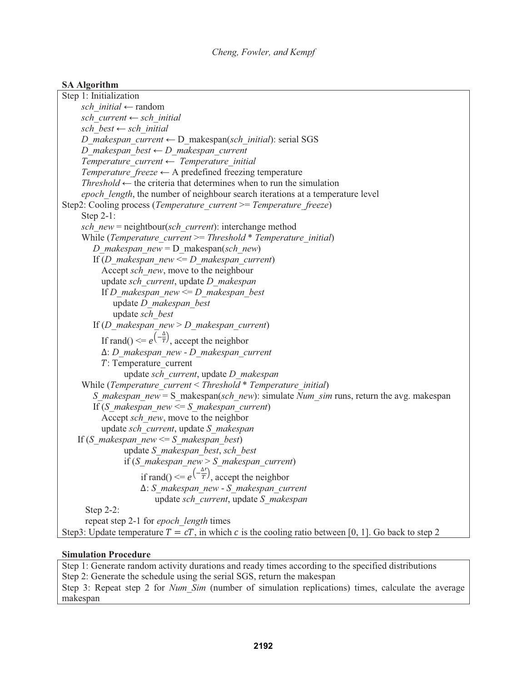# **SA Algorithm**

```
Step 1: Initialization 
     sch_initial ← random
     sch_current ← sch_initial 
     sch_best ← sch_initial 
     D_makespan_current ← D_makespan(sch_initial): serial SGS
     D_makespan_best ← D_makespan_current 
     Temperature_current ← Temperature_initial
     Temperature freeze \leftarrow A predefined freezing temperature
     Threshold \leftarrow the criteria that determines when to run the simulation
     epoch_length, the number of neighbour search iterations at a temperature level 
Step2: Cooling process (Temperature_current >= Temperature_freeze) 
     Step 2-1: 
     sch_new = neightbour(sch_current): interchange method 
     While (Temperature_current >= Threshold * Temperature_initial) 
        D_makespan_new = D_makespan(sch_new) 
        If (D_makespan_new <= D_makespan_current) 
          Accept sch_new, move to the neighbour
          update sch_current, update D_makespan
           If D_makespan_new <= D_makespan_best
             update D_makespan_best 
             update sch_best
        If (D_makespan_new > D_makespan_current) 
          If rand() \leq e^{\left(-\frac{\Delta}{T}\right)}, accept the neighbor
          ο: D_makespan_new - D_makespan_current
          ܶ: Temperature_current 
                update sch_current, update D_makespan
     While (Temperature_current < Threshold * Temperature_initial) 
        S_makespan_new = S_makespan(sch_new): simulate Num_sim runs, return the avg. makespan
        If (S_makespan_new <= S_makespan_current) 
          Accept sch_new, move to the neighbor 
          update sch_current, update S_makespan
    If (S_makespan_new <= S_makespan_best) 
                update S_makespan_best, sch_best
                if (S_makespan_new > S_makespan_current) 
                    if rand() \leq e^{\left(\frac{\Delta t}{T}\right)}, accept the neighbor
                    ο: S_makespan_new - S_makespan_current
                        update sch_current, update S_makespan 
      Step 2-2: 
      repeat step 2-1 for epoch_length times 
Step3: Update temperature T = cT, in which c is the cooling ratio between [0, 1]. Go back to step 2
```
# **Simulation Procedure**

Step 1: Generate random activity durations and ready times according to the specified distributions Step 2: Generate the schedule using the serial SGS, return the makespan Step 3: Repeat step 2 for *Num\_Sim* (number of simulation replications) times, calculate the average makespan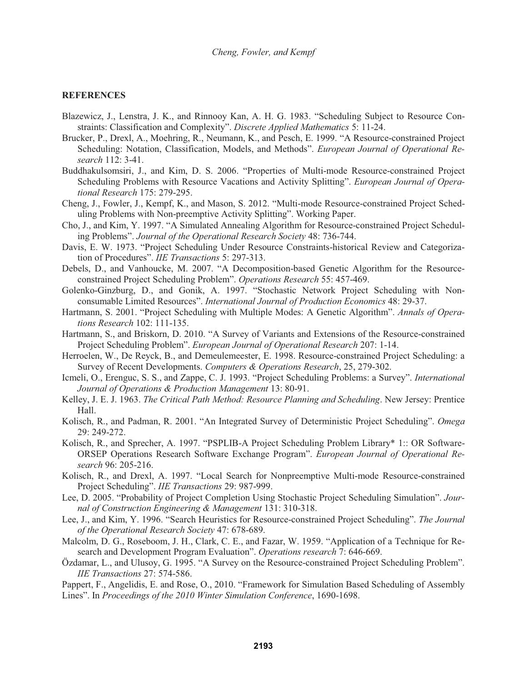## **REFERENCES**

- Blazewicz, J., Lenstra, J. K., and Rinnooy Kan, A. H. G. 1983. "Scheduling Subject to Resource Constraints: Classification and Complexity". *Discrete Applied Mathematics* 5: 11-24.
- Brucker, P., Drexl, A., Moehring, R., Neumann, K., and Pesch, E. 1999. "A Resource-constrained Project Scheduling: Notation, Classification, Models, and Methods". *European Journal of Operational Research* 112: 3-41.
- Buddhakulsomsiri, J., and Kim, D. S. 2006. "Properties of Multi-mode Resource-constrained Project Scheduling Problems with Resource Vacations and Activity Splitting". *European Journal of Operational Research* 175: 279-295.
- Cheng, J., Fowler, J., Kempf, K., and Mason, S. 2012. "Multi-mode Resource-constrained Project Scheduling Problems with Non-preemptive Activity Splitting". Working Paper.
- Cho, J., and Kim, Y. 1997. "A Simulated Annealing Algorithm for Resource-constrained Project Scheduling Problems". *Journal of the Operational Research Society* 48: 736-744.
- Davis, E. W. 1973. "Project Scheduling Under Resource Constraints-historical Review and Categorization of Procedures". *IIE Transactions* 5: 297-313.
- Debels, D., and Vanhoucke, M. 2007. "A Decomposition-based Genetic Algorithm for the Resourceconstrained Project Scheduling Problem". *Operations Research* 55: 457-469.
- Golenko-Ginzburg, D., and Gonik, A. 1997. "Stochastic Network Project Scheduling with Nonconsumable Limited Resources". *International Journal of Production Economics* 48: 29-37.
- Hartmann, S. 2001. "Project Scheduling with Multiple Modes: A Genetic Algorithm". *Annals of Operations Research* 102: 111-135.
- Hartmann, S., and Briskorn, D. 2010. "A Survey of Variants and Extensions of the Resource-constrained Project Scheduling Problem". *European Journal of Operational Research* 207: 1-14.
- Herroelen, W., De Reyck, B., and Demeulemeester, E. 1998. Resource-constrained Project Scheduling: a Survey of Recent Developments. *Computers & Operations Research*, 25, 279-302.
- Icmeli, O., Erenguc, S. S., and Zappe, C. J. 1993. "Project Scheduling Problems: a Survey". *International Journal of Operations & Production Management* 13: 80-91.
- Kelley, J. E. J. 1963. *The Critical Path Method: Resource Planning and Scheduling*. New Jersey: Prentice Hall.
- Kolisch, R., and Padman, R. 2001. "An Integrated Survey of Deterministic Project Scheduling". *Omega* 29: 249-272.
- Kolisch, R., and Sprecher, A. 1997. "PSPLIB-A Project Scheduling Problem Library\* 1:: OR Software-ORSEP Operations Research Software Exchange Program". *European Journal of Operational Research* 96: 205-216.
- Kolisch, R., and Drexl, A. 1997. "Local Search for Nonpreemptive Multi-mode Resource-constrained Project Scheduling". *IIE Transactions* 29: 987-999.
- Lee, D. 2005. "Probability of Project Completion Using Stochastic Project Scheduling Simulation". *Journal of Construction Engineering & Management* 131: 310-318.
- Lee, J., and Kim, Y. 1996. "Search Heuristics for Resource-constrained Project Scheduling". *The Journal of the Operational Research Society* 47: 678-689.
- Malcolm, D. G., Roseboom, J. H., Clark, C. E., and Fazar, W. 1959. "Application of a Technique for Research and Development Program Evaluation". *Operations research* 7: 646-669.
- Özdamar, L., and Ulusoy, G. 1995. "A Survey on the Resource-constrained Project Scheduling Problem". *IIE Transactions* 27: 574-586.

Pappert, F., Angelidis, E. and Rose, O., 2010. "Framework for Simulation Based Scheduling of Assembly Lines". In *Proceedings of the 2010 Winter Simulation Conference*, 1690-1698.